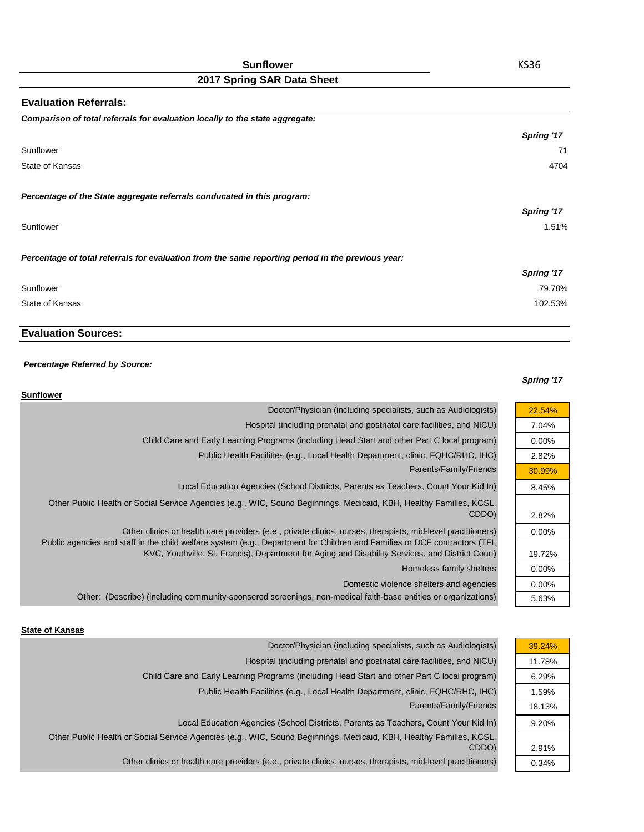| <b>Sunflower</b> |  |
|------------------|--|
|------------------|--|

| <b>Evaluation Referrals:</b>                                                                      |            |
|---------------------------------------------------------------------------------------------------|------------|
| Comparison of total referrals for evaluation locally to the state aggregate:                      |            |
|                                                                                                   | Spring '17 |
| Sunflower                                                                                         | 71         |
| State of Kansas                                                                                   | 4704       |
| Percentage of the State aggregate referrals conducated in this program:                           |            |
|                                                                                                   | Spring '17 |
| Sunflower                                                                                         | 1.51%      |
| Percentage of total referrals for evaluation from the same reporting period in the previous year: |            |
|                                                                                                   | Spring '17 |
| Sunflower                                                                                         | 79.78%     |
| State of Kansas                                                                                   | 102.53%    |

## **Evaluation Sources:**

#### *Percentage Referred by Source:*

#### *Spring '17*

| <b>Sunflower</b>                                                                                                                                                                                                               |          |
|--------------------------------------------------------------------------------------------------------------------------------------------------------------------------------------------------------------------------------|----------|
| Doctor/Physician (including specialists, such as Audiologists)                                                                                                                                                                 | 22.54%   |
| Hospital (including prenatal and postnatal care facilities, and NICU)                                                                                                                                                          | 7.04%    |
| Child Care and Early Learning Programs (including Head Start and other Part C local program)                                                                                                                                   | $0.00\%$ |
| Public Health Facilities (e.g., Local Health Department, clinic, FQHC/RHC, IHC)                                                                                                                                                | 2.82%    |
| Parents/Family/Friends                                                                                                                                                                                                         | 30.99%   |
| Local Education Agencies (School Districts, Parents as Teachers, Count Your Kid In)                                                                                                                                            | 8.45%    |
| Other Public Health or Social Service Agencies (e.g., WIC, Sound Beginnings, Medicaid, KBH, Healthy Families, KCSL,<br>CDDO)                                                                                                   | 2.82%    |
| Other clinics or health care providers (e.e., private clinics, nurses, therapists, mid-level practitioners)                                                                                                                    | $0.00\%$ |
| Public agencies and staff in the child welfare system (e.g., Department for Children and Families or DCF contractors (TFI,<br>KVC, Youthville, St. Francis), Department for Aging and Disability Services, and District Court) | 19.72%   |
| Homeless family shelters                                                                                                                                                                                                       | $0.00\%$ |
| Domestic violence shelters and agencies                                                                                                                                                                                        | $0.00\%$ |
| Other: (Describe) (including community-sponsered screenings, non-medical faith-base entities or organizations)                                                                                                                 | 5.63%    |
|                                                                                                                                                                                                                                |          |

#### **State of Kansas**

| Hospital (including prenatal and postnatal care facilities, and NICU)<br>Child Care and Early Learning Programs (including Head Start and other Part C local program) | 39.24% |
|-----------------------------------------------------------------------------------------------------------------------------------------------------------------------|--------|
|                                                                                                                                                                       | 11.78% |
|                                                                                                                                                                       | 6.29%  |
| Public Health Facilities (e.g., Local Health Department, clinic, FQHC/RHC, IHC)                                                                                       | 1.59%  |
| Parents/Family/Friends                                                                                                                                                | 18.13% |
| Local Education Agencies (School Districts, Parents as Teachers, Count Your Kid In)                                                                                   | 9.20%  |
| Other Public Health or Social Service Agencies (e.g., WIC, Sound Beginnings, Medicaid, KBH, Healthy Families, KCSL,                                                   |        |
| CDDO)                                                                                                                                                                 | 2.91%  |
| Other clinics or health care providers (e.e., private clinics, nurses, therapists, mid-level practitioners)                                                           | 0.34%  |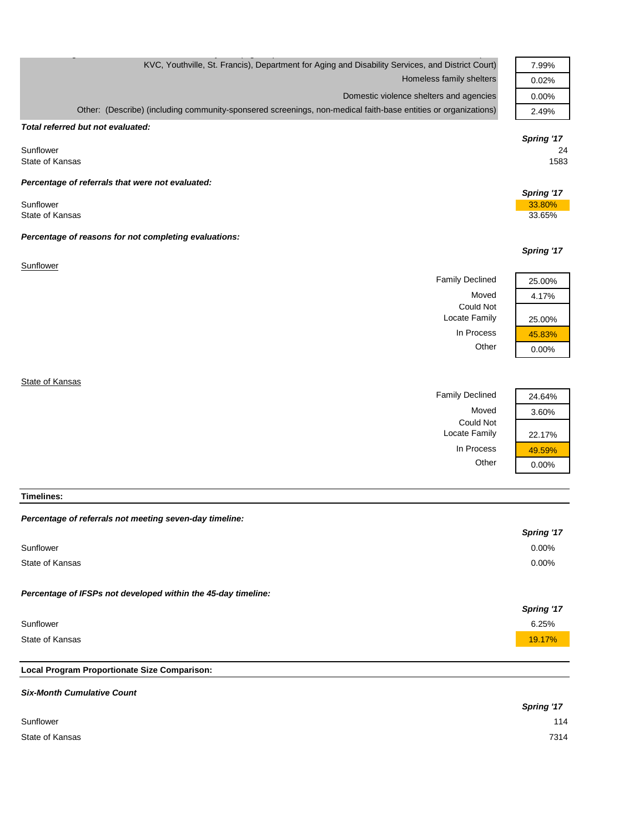| KVC, Youthville, St. Francis), Department for Aging and Disability Services, and District Court)               | 7.99%      |
|----------------------------------------------------------------------------------------------------------------|------------|
| Homeless family shelters                                                                                       | 0.02%      |
| Domestic violence shelters and agencies                                                                        | 0.00%      |
| Other: (Describe) (including community-sponsered screenings, non-medical faith-base entities or organizations) | 2.49%      |
| Total referred but not evaluated:                                                                              |            |
|                                                                                                                | Spring '17 |
| Sunflower<br>State of Kansas                                                                                   | 24<br>1583 |
|                                                                                                                |            |
| Percentage of referrals that were not evaluated:                                                               | Spring '17 |
| Sunflower                                                                                                      | 33.80%     |
| State of Kansas                                                                                                | 33.65%     |
| Percentage of reasons for not completing evaluations:                                                          |            |
|                                                                                                                | Spring '17 |
| Sunflower                                                                                                      |            |
| <b>Family Declined</b>                                                                                         | 25.00%     |
| Moved                                                                                                          | 4.17%      |
| Could Not<br>Locate Family                                                                                     | 25.00%     |
| In Process                                                                                                     | 45.83%     |
| Other                                                                                                          | 0.00%      |
|                                                                                                                |            |
| State of Kansas                                                                                                |            |
| <b>Family Declined</b>                                                                                         | 24.64%     |

g  $\mathcal{G}$  , p (  $\mathcal{G}$  ,  $\mathcal{G}$  ,  $\mathcal{G}$  ,  $\mathcal{G}$  ,  $\mathcal{G}$  ,  $\mathcal{G}$  ,  $\mathcal{G}$  ,  $\mathcal{G}$  ,  $\mathcal{G}$  ,  $\mathcal{G}$  ,  $\mathcal{G}$  ,  $\mathcal{G}$  ,  $\mathcal{G}$  ,  $\mathcal{G}$  ,  $\mathcal{G}$  ,  $\mathcal{G}$  ,  $\mathcal{G}$  ,  $\mathcal{G}$  ,  $\mathcal{G$ 

Moved 3.60%

Locate Family 22.17%

In Process  $\frac{49.59\%}{0.00\%}$ 

 $0.00%$ 

Could Not

**Timelines:**

| Percentage of referrals not meeting seven-day timeline:       |            |
|---------------------------------------------------------------|------------|
|                                                               | Spring '17 |
| Sunflower                                                     | $0.00\%$   |
| State of Kansas                                               | $0.00\%$   |
|                                                               |            |
| Percentage of IFSPs not developed within the 45-day timeline: |            |
|                                                               | Spring '17 |
| Sunflower                                                     | 6.25%      |
| State of Kansas                                               | 19.17%     |
|                                                               |            |
| Local Program Proportionate Size Comparison:                  |            |

# *Six-Month Cumulative Count Spring '17* Sunflower 114 State of Kansas 7314